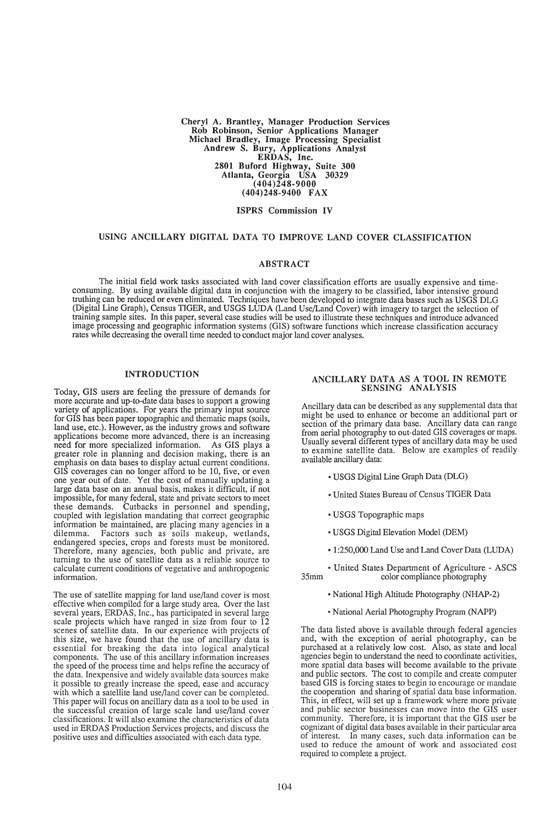Cheryl A. Brantley, Manager Production Services Rob Robinson, Senior Applications Manager Michael Bradley, Image Processing Specialist Andrew S. Bury, Applications Analyst ERDAS, Inc. 2801 Buford Highway, Suite 300 Atlanta, Georgia USA 30329  $(404)248-9000$ (404)248-9400 FAX

### ISPRS Commission IV

## USING ANCILLARY DIGITAL DATA TO IMPROVE LAND COVER CLASSIFICATION

### ABSTRACT

The initial field work tasks associated with land cover classification efforts are usually expensive and timeconsuming. By using available digital data in conjunction with the imagery to be classified, labor intensive ground truthing can be reduced or even eliminated. Techniques have been developed to integrate data bases such as USGS DLG (Digital Line Graph), Census TIGER, and USGS LUDA (Land Use/Land Cover) with imagery to target the selection of training sample sites. In this paper, several case studies will be used to illustrate these techniques and introduce advanced image processing and geographic information systems (GIS) software functions which increase classification accuracy rates while decreasing the overall time needed to conduct major land cover analyses.

### INTRODUCTION

Today, GIS users are feeling the pressure of demands for more accurate and up-to-date data bases to support a growing variety of applications. For years the primary input source for GIS has been paper topographic and thematic maps (soils, land use, etc.). However, as the industry grows and software applications become more advanced, there is an increasing need for more specialized information. As GIS plays a greater role in planning and decision making, there is an emphasis on data bases to display actual current conditions. GIS coverages can no longer afford to be 10, five, or even one year out of date. Yet the cost of manually updating a large data base on an annual basis, makes it difficult, if not impossible, for many federal, state and private sectors to meet these demands. Cutbacks in personnel and spending, coupled with legislation mandating that correct geographic information be maintained, are placing many agencies in a dilemma. Factors such as soils makeup, wetlands, Factors such as soils makeup, wetlands, endangered species, crops and forests must be monitored. Therefore, many agencies, both public and private, are turning to the use of satellite data as a reliable source to calculate current conditions of vegetative and anthropogenic information.

The use of satellite mapping for land use/land cover is most effective when compiled for a large study area. Over the last several years, ERDAS, Inc., has participated in several large scale projects which have ranged in size from four to 12 scenes of satellite data. In our experience with projects of this size, we have found that the use of ancillary data is essential for breaking the data into logical analytical components. The use of this ancillary information increases the speed of the process time and helps refine the accuracy of the data. Inexpensive and widely available data sources make it possible to greatly increase the speed, ease and accuracy with which a satellite land use/land cover can be completed. This paper will focus on ancillary data as a tool to be used in the successful creation of large scale land use/land cover classifications. It will also examine the characteristics of data used in ERDAS Production Services projects, and discuss the positive uses and difficulties associated with each data type.

### ANCILLARY DATA AS A TOOL IN REMOTE SENSING ANALYSIS

Ancillary data can be described as any supplemental data that might be used to enhance or become an additional part or section of the primary data base. Ancillary data can range from aerial photography to out-dated GIS coverages or maps. Usually several different types of ancillary data may be used to examine satellite data. Below are examples of readily available ancillary data:

- USGS Digital Line Graph Data (DLG)
- United States Bureau of Census TIGER Data
- .. USGS Topographic maps
- USGS Digital Elevation Model (DEM)
- 1:250,000 Land Use and Land Cover Data (LUDA)

• United States Department of Agriculture - ASCS 35mm color compliance photography

- National High Altitude Photography (NHAP-2)
- .. National Aerial Photography Program (NAPP)

The data listed above is available through federal agencies and, with the exception of aerial photography, can be purchased at a relatively low cost. Also, as state and local agencies begin to understand the need to coordinate activities, more spatial data bases will become available to the private and public sectors. The cost to compile and create computer based GIS is forcing states to begin to encourage or mandate the cooperation and sharing of spatial data base information. This, in effect, will set up a framework where more private and public sector businesses can move into the GIS user community. Therefore, it is important that the GIS user be cognizant of digital data bases available in their particular area of interest. In many cases, such data information can be used to reduce the amount of work and associated cost required to complete a project.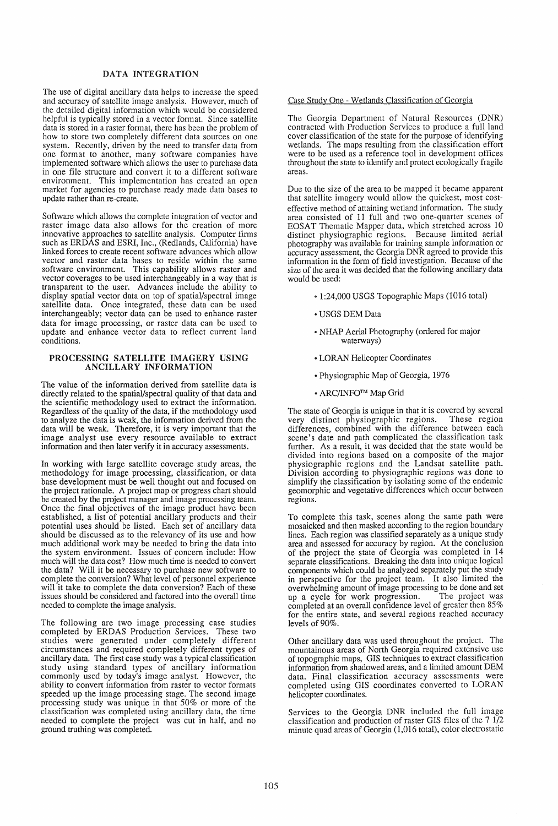# DATA INTEGRATION

The use of digital ancillary data helps to increase the speed and accuracy of satellite image analysis. However, much of the detailed digital information which would be considered helpful is typically stored in a vector format. Since satellite data is stored in a raster format, there has been the problem of how to store two completely different data sources on one system. Recently, driven by the need to transfer data from one format to another, many software companies have implemented software which allows the user to purchase data in one file structure and convert it to a different software environment. This implementation has created an open market for agencies to purchase ready made data bases to update rather than re-create.

Software which allows the complete integration of vector and raster image data also allows for the creation of more innovative approaches to satellite analysis. Computer firms such as ERDAS and ESRI, Inc., (Redlands, California) have linked forces to create recent software advances which allow vector and raster data bases to reside within the same software environment. This capability allows raster and vector coverages to be used interchangeably in a way that is transparent to the user. Advances include the ability to display spatial vector data on top of spatial/spectral image satellite data. Once integrated, these data can be used interchangeably; vector data can be used to enhance raster data for image processing, or raster data can be used to update and enhance vector data to reflect current land conditions.

### PROCESSING SATELLITE IMAGERY USING ANCILLARY INFORMATION

The value of the information derived from satellite data is directly related to the spatial/spectral quality of that data and the scientific methodology used to extract the information. Regardless of the quality of the data, if the methodology used to analyze the data is weak, the information derived from the data will be weak. Therefore, it is very important that the image analyst use every resource available to extract information and then later verify it in accuracy assessments.

In working with large satellite coverage study areas, the methodology for image processing, classification, or data base development must be well thought out and focused on the project rationale. A project map or progress chart should be created by the project manager and image processing team. Once the final objectives of the image product have been established, a list of potential ancillary products and their potential uses should be listed. Each set of ancillary data should be discussed as to the relevancy of its use and how much additional work may be needed to bring the data into the system environment. Issues of concern include: How much will the data cost? How much time is needed to convert the data? Will it be necessary to purchase new software to complete the conversion? What level of personnel experience will it take to complete the data conversion? Each of these issues should be considered and factored into the overall time needed to complete the image analysis.

The following are two image processing case studies completed by ERDAS Production Services. These two studies were generated under completely different circumstances and required completely different types of ancillary data. The first case study was a typical classification study using standard types of ancillary information commonly used by today's image analyst. However, the ability to convert information from raster to vector formats speeded up the image processing stage. The second image processing study was unique in that 50% or more of the classification was completed using ancillary data, the time needed to complete the project was cut in half, and no ground truthing was completed.

### Case Study One - Wetlands Classification of Georgia

The Georgia Department of Natural Resources (DNR) contracted with Production Services to produce a full land cover classification of the state for the purpose of identifying wetlands. The maps resulting from the classification effort were to be used as a reference tool in development offices throughout the state to identify and protect ecologically fragile areas.

Due to the size of the area to be mapped it became apparent that satellite imagery would allow the quickest, most costeffective method of attaining wetland information. The study area consisted of 11 full and two one-quarter scenes of EOSAT Thematic Mapper data, which stretched across 10 distinct physiographic regions. Because limited aerial photography was available for training sample information or accuracy assessment, the Georgia DNR agreed to provide this information in the form of field investigation. Because of the size of the area it was decided that the following ancillary data would be used:

- 1:24,000 USGS Topographic Maps (1016 total)
- USGS DEM Data
- e NHAP Aerial Photography (ordered for major waterways)
- LORAN Helicopter Coordinates
- Physiographic Map of Georgia, 1976
- ARC/lNFOTM Map Grid

The state of Georgia is unique in that it is covered by several very distinct physiographic regions. These region very distinct physiographic regions. differences, combined with the difference between each scene's date and path complicated the classification task further. As a result, it was decided that the state would be divided into regions based on a composite of the major physiographic regions and the Landsat satellite path. Division according to physiographic regions was done to simplify the classification by isolating some of the endemic geomorphic and vegetative differences which occur between regions.

To complete this task, scenes along the same path were mosaicked and then masked according to the region boundary lines. Each region was classified separately as a unique study area and assessed for accuracy by region. At the conclusion of the project the state of Georgia was completed in 14 separate classifications. Breaking the data into unique logical components which could be analyzed separately put the study in perspective for the project team. It also limited the overwhelming amount of image processing to be done and set<br>up a cycle for work progression. The project was up a cycle for work progression. completed at an overall confidence level of greater then 85% for the entire state, and several regions reached accuracy levels of 90%.

Other ancillary data was used throughout the project. The mountainous areas of North Georgia required extensive use of topographic maps, GIS techniques to extract classification information from shadowed areas, and a limited amount DEM data. Final classification accuracy assessments were completed using GIS coordinates converted to LORAN helicopter coordinates.

Services to the Georgia DNR included the full image classification and production of raster GIS files of the 7 1/2 minute quad areas of Georgia (1,016 total), color electrostatic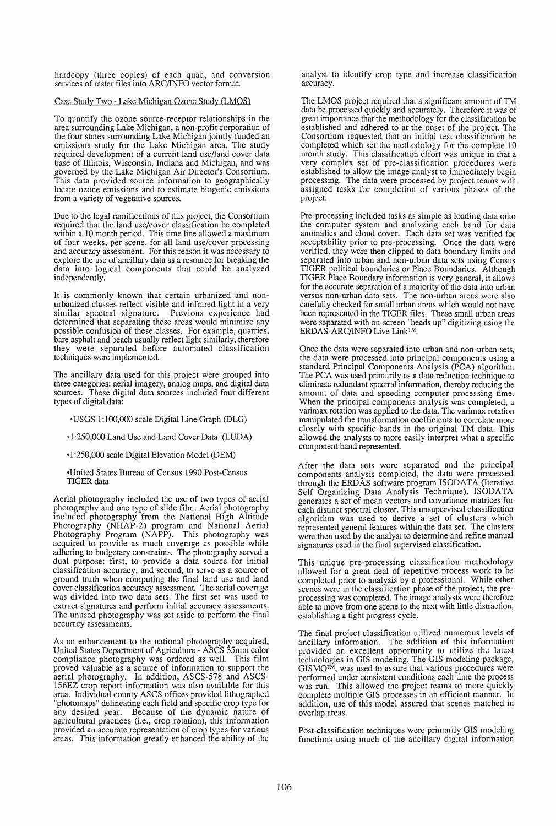hardcopy (three copies) of each quad, and conversion services of raster files into ARC/INFO vector format.

## Case Study Two - Lake Michigan Ozone Study CLMOS)

To quantify the ozone source-receptor relationships in the area surrounding Lake Michigan, a non-profit corporation of the four states surrounding Lake Michigan jointly funded an emissions study for the Lake Michigan area. The study required development of a current land use/land cover data base of Illinois, Wisconsin, Indiana and Michigan, and was governed by the Lake Michigan Air Director's Consortium. This data provided source information to geographically locate ozone emissions and to estimate biogenic emissions from a variety of vegetative sources.

Due to the legal ramifications of this project, the Consortium required that the land use/cover classification be completed within a 10 month period. This time line allowed a maximum of four weeks, per scene, for all land use/cover processing and accuracy assessment. For this reason it was necessary to explore the use of ancillary data as a resource for breaking the data into logical components that could be analyzed independently.

It is commonly known that certain urbanized and nonurbanized classes reflect visible and infrared light in a very similar spectral signature. determined that separating these areas would minimize any possible confusion of these classes. For example, quarries, bare asphalt and beach usually reflect light similarly, therefore they were separated before automated classification techniques were implemented.

The ancillary data used for this project were grouped into three categories: aerial imagery, analog maps, and digital data sources. These digital data sources included four different types of digital data:

- -USGS 1:100,000 scale Digital Line Graph (DLG)
- .. 1 :250,000 Land Use and Land Cover Data (LUDA)
- -I :250,000 scale Digital Elevation Model (DEM)

-United States Bureau of Census 1990 Post-Census TIGER data

Aerial photography included the use of two types of aerial photography and one type of slide film. Aerial photography included photography from the National High Altitude Photography (NHAP-2) program and National Aerial Photography Program (NAPP). This photography was acquired to provide as much coverage as possible while adhering to budgetary constraints. The photography served a dual purpose: first, to provide a data source for initial classification accuracy, and second, to serve as a source of ground truth when computing the final land use and land cover classification accuracy assessment. The aerial coverage was divided into two data sets. The first set was used to extract signatures and perform initial accuracy assessments. The unused photography was set aside to perform the final accuracy assessments.

As an enhancement to the national photography acquired, United States Department of Agriculture - ASCS 35mm color compliance photography was ordered as well. This film proved valuable as a source of information to support the aerial photography. In addition, ASCS-578 and ASCS-156EZ crop report information was also available for this area. Individual county ASCS offices provided lithographed "photomaps" delineating each field and specific crop type for any desired year. Because of the dynamic nature of agricultural practices (i.e., crop rotation), this information provided an accurate representation of crop types for various areas. This information greatly enhanced the ability of the

analyst to identify crop type and increase classification accuracy.

The LMOS project required that a significant amount of TM data be processed quickly and accurately. Therefore it was of great importance that the methodology for the classification be established and adhered to at the onset of the project. The Consortium requested that an initial test classification be completed which set the methodology for the complete 10 month study. This classification effort was unique in that a very complex set of pre-classification procedures were established to allow the image analyst to immediately begin processing. The data were processed by project teams with assigned tasks for completion of various phases of the project.

Pre-processing included tasks as simple as loading data onto the computer system and analyzing each band for data anomalies and cloud cover. Each data set was verified for acceptability prior to pre-processing. Once the data were verified, they were then clipped to data boundary limits and separated into urban and non-urban data sets using Census TIGER political boundaries or Place Boundaries. Although TIGER Place Boundary information is very general, it allows for the accurate separation of a majority of the data into urban versus non-urban data sets. The non-urban areas were also carefully checked for small urban areas which would not have been represented in the TIGER files. These small urban areas were separated with on-screen "heads up" digitizing using the ERDAS-ARC/INFO Live LinkTM.

Once the data were separated into urban and non-urban sets, the data were processed into principal components using a standard Principal Components Analysis (PCA) algorithm. The PCA was used primarily as a data reduction technique to eliminate redundant spectral information, thereby reducing the amount of data and speeding computer processing time. When the principal components analysis was completed, a varimax rotation was applied to the data. The varimax rotation manipulated the transformation coefficients to correlate more closely with specific bands in the original TM data. This allowed the analysts to more easily interpret what a specific component band represented.

After the data sets were separated and the principal components analysis completed, the data were processed through the ERDAS software program ISODATA (Iterative Self Organizing Data Analysis Technique). ISODATA generates a set of mean vectors and covariance matrices for each distinct spectral cluster. This unsupervised classification algorithm was used to derive a set of clusters which represented general features within the data set. The clusters were then used by the analyst to determine and refine manual signatures used in the final supervised classification.

This unique pre-processing classification methodology allowed for a great deal of repetitive process work to be completed prior to analysis by a professional. While other scenes were in the classification phase of the project, the preprocessing was completed. The image analysts were therefore able to move from one scene to the next with little distraction, establishing a tight progress cycle.

The final project classification utilized numerous levels of ancillary information. The addition of this information provided an excellent opportunity to utilize the latest technologies in GIS modeling. The GIS modeling package, GISMOTM, was used to assure that various procedures were performed under consistent conditions each time the process was run. This allowed the project teams to more quickly complete multiple GIS processes in an efficient manner. In addition, use of this model assured that scenes matched in overlap areas.

Post-classification techniques were primarily GIS modeling functions using much of the ancillary digital information